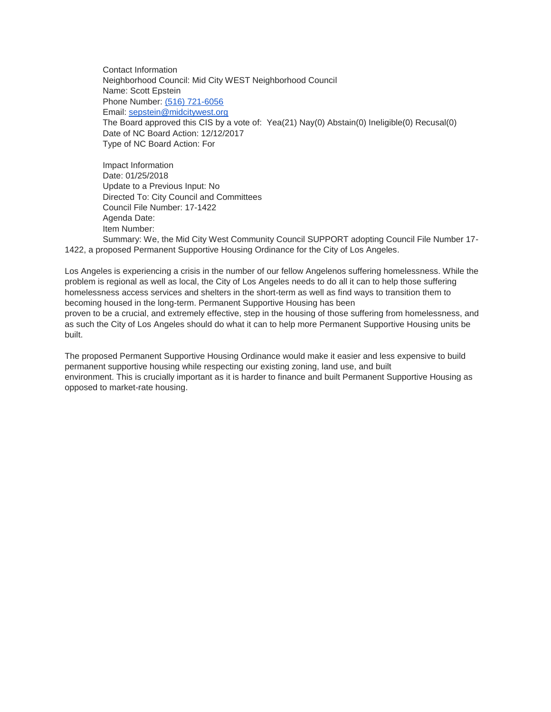Contact Information Neighborhood Council: Mid City WEST Neighborhood Council Name: Scott Epstein Phone Number: [\(516\) 721-6056](tel:%28516%29%20721-6056) Email: [sepstein@midcitywest.org](mailto:sepstein@midcitywest.org) The Board approved this CIS by a vote of: Yea(21) Nay(0) Abstain(0) Ineligible(0) Recusal(0) Date of NC Board Action: 12/12/2017 Type of NC Board Action: For

Impact Information Date: 01/25/2018 Update to a Previous Input: No Directed To: City Council and Committees Council File Number: 17-1422 Agenda Date: Item Number: Summary: We, the Mid City West Community Council SUPPORT adopting Council File Number 17-

1422, a proposed Permanent Supportive Housing Ordinance for the City of Los Angeles.

Los Angeles is experiencing a crisis in the number of our fellow Angelenos suffering homelessness. While the problem is regional as well as local, the City of Los Angeles needs to do all it can to help those suffering homelessness access services and shelters in the short-term as well as find ways to transition them to becoming housed in the long-term. Permanent Supportive Housing has been proven to be a crucial, and extremely effective, step in the housing of those suffering from homelessness, and as such the City of Los Angeles should do what it can to help more Permanent Supportive Housing units be built.

The proposed Permanent Supportive Housing Ordinance would make it easier and less expensive to build permanent supportive housing while respecting our existing zoning, land use, and built environment. This is crucially important as it is harder to finance and built Permanent Supportive Housing as opposed to market-rate housing.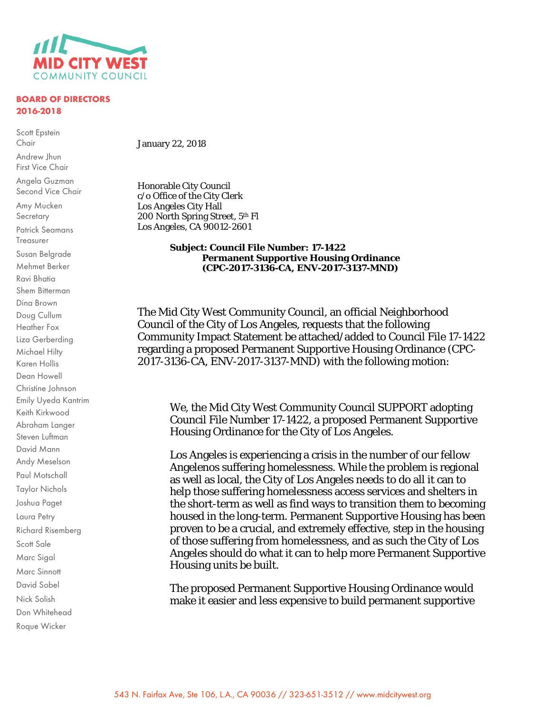

## **BOARD OF DIRECTORS 2016-2018**

Scott Epstein Chair

Andrew Jhun First Vice Chair

Angela Guzman Second Vice Chair

Amy Mucken **Secretary** Patrick Seamans Treasurer Susan Belgrade Mehmet Berker Ravi Bhatia Shem Bitterman Dina Brown Doug Cullum Heather Fox Liza Gerberding Michael Hilty Karen Hollis Dean Howell Christine Johnson Emily Uyeda Kantrim Keith Kirkwood Abraham Langer Steven Luftman David Mann Andy Meselson Paul Motschall Taylor Nichols

Joshua Paget Laura Petry

Scott Sale Marc Sigal Marc Sinnott David Sobel Nick Solish Don Whitehead Roque Wicker

Richard Risemberg

January 22, 2018

Honorable City Council c/o Office of the City Clerk Los Angeles City Hall 200 North Spring Street, 5th Fl Los Angeles, CA 90012-2601

## **Subject: Council File Number: 17-1422 Permanent Supportive Housing Ordinance (CPC-2017-3136-CA, ENV-2017-3137-MND)**

The Mid City West Community Council, an official Neighborhood Council of the City of Los Angeles, requests that the following Community Impact Statement be attached/added to Council File 17-1422 regarding a proposed Permanent Supportive Housing Ordinance (CPC-2017-3136-CA, ENV-2017-3137-MND) with the following motion:

We, the Mid City West Community Council SUPPORT adopting Council File Number 17-1422, a proposed Permanent Supportive Housing Ordinance for the City of Los Angeles.

Los Angeles is experiencing a crisis in the number of our fellow Angelenos suffering homelessness. While the problem is regional as well as local, the City of Los Angeles needs to do all it can to help those suffering homelessness access services and shelters in the short-term as well as find ways to transition them to becoming housed in the long-term. Permanent Supportive Housing has been proven to be a crucial, and extremely effective, step in the housing of those suffering from homelessness, and as such the City of Los Angeles should do what it can to help more Permanent Supportive Housing units be built.

The proposed Permanent Supportive Housing Ordinance would make it easier and less expensive to build permanent supportive